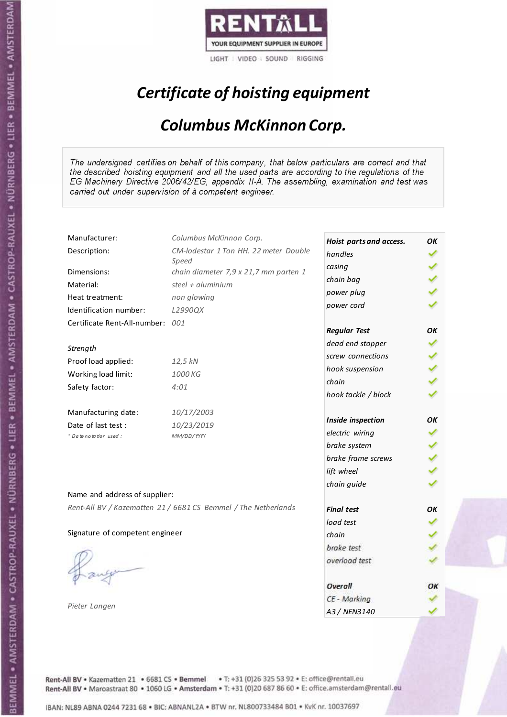

# Certificate of hoisting equipment

## Columbus McKinnon Corp.

The undersigned certifies on behalf of this company, that below particulars are correct and that the described hoisting equipment and all the used parts are according to the regulations of the EG Machinery Directive 2006/42/EG, appendix II-A. The assembling, examination and test was carried out under supervision of à competent engineer.

| Manufacturer:                    | Columbus McKinnon Corp.                                        | Hoist parts and access. | OK |
|----------------------------------|----------------------------------------------------------------|-------------------------|----|
| Description:                     | CM-lodestar 1 Ton HH. 22 meter Double                          | handles                 |    |
| Dimensions:                      | Speed<br>chain diameter 7,9 x 21,7 mm parten 1                 | casing                  |    |
|                                  | steel + $aluminim$                                             | chain bag               |    |
| Material:                        |                                                                | power plug              |    |
| Heat treatment:                  | non glowing                                                    | power cord              |    |
| Identification number:           | L2990QX                                                        |                         |    |
| Certificate Rent-All-number: 001 |                                                                | <b>Regular Test</b>     | OК |
|                                  |                                                                | dead end stopper        |    |
| Strength                         |                                                                | screw connections       |    |
| Proof load applied:              | 12,5 kN                                                        | hook suspension         |    |
| Working load limit:              | 1000 KG                                                        | chain                   |    |
| Safety factor:                   | 4:01                                                           | hook tackle / block     |    |
| Manufacturing date:              | 10/17/2003                                                     |                         |    |
| Date of last test :              | 10/23/2019                                                     | Inside inspection       | OК |
| * Date notation used :           | MM/DD/YYYY                                                     | electric wiring         |    |
|                                  |                                                                | brake system            |    |
|                                  |                                                                | brake frame screws      |    |
|                                  |                                                                | lift wheel              |    |
|                                  |                                                                | chain guide             |    |
| Name and address of supplier:    |                                                                |                         |    |
|                                  | Rent-All BV / Kazematten 21 / 6681 CS Bemmel / The Netherlands | <b>Final test</b>       | OK |
|                                  |                                                                | load test               |    |
| Signature of competent engineer  |                                                                | chain                   |    |
|                                  |                                                                | brake test              |    |
|                                  |                                                                | overload test           |    |
|                                  |                                                                |                         |    |
|                                  |                                                                | Overall                 | ОΚ |
| Pieter Langen                    |                                                                | CE - Marking            |    |
|                                  |                                                                | A3 / NEN3140            |    |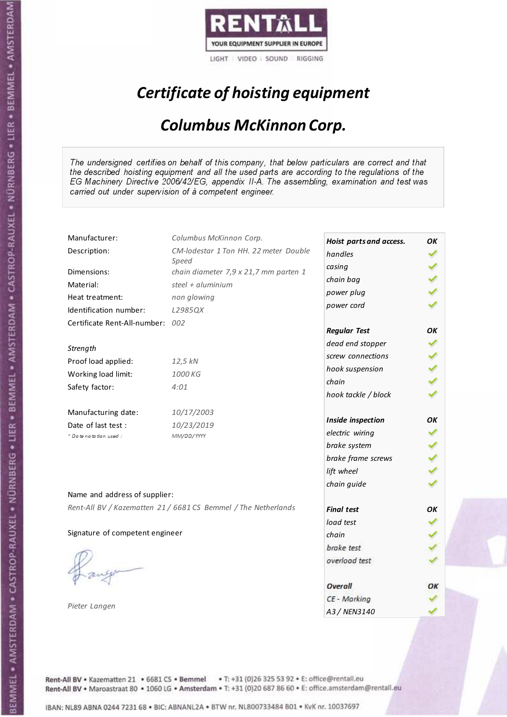

# Certificate of hoisting equipment

## Columbus McKinnon Corp.

The undersigned certifies on behalf of this company, that below particulars are correct and that the described hoisting equipment and all the used parts are according to the regulations of the EG Machinery Directive 2006/42/EG, appendix II-A. The assembling, examination and test was carried out under supervision of à competent engineer.

| Manufacturer:                    | Columbus McKinnon Corp.                                        | Hoist parts and access. | OK |
|----------------------------------|----------------------------------------------------------------|-------------------------|----|
| Description:                     | CM-lodestar 1 Ton HH. 22 meter Double                          | handles                 |    |
|                                  | Speed                                                          | casing                  |    |
| Dimensions:                      | chain diameter 7,9 x 21,7 mm parten 1                          | chain bag               |    |
| Material:                        | steel + $aluminim$                                             | power plug              |    |
| Heat treatment:                  | non glowing                                                    | power cord              |    |
| Identification number:           | L2985QX                                                        |                         |    |
| Certificate Rent-All-number: 002 |                                                                | <b>Regular Test</b>     | OК |
| Strength                         |                                                                | dead end stopper        |    |
| Proof load applied:              | 12,5 kN                                                        | screw connections       |    |
|                                  | 1000 KG                                                        | hook suspension         |    |
| Working load limit:              |                                                                | chain                   |    |
| Safety factor:                   | 4:01                                                           | hook tackle / block     |    |
| Manufacturing date:              | 10/17/2003                                                     |                         |    |
| Date of last test :              | 10/23/2019                                                     | Inside inspection       | OK |
| + Date notation used :           | MM/DD/YYYY                                                     | electric wiring         |    |
|                                  |                                                                | brake system            |    |
|                                  |                                                                | brake frame screws      |    |
|                                  |                                                                | lift wheel              |    |
| Name and address of supplier:    |                                                                | chain guide             |    |
|                                  | Rent-All BV / Kazematten 21 / 6681 CS Bemmel / The Netherlands | <b>Final test</b>       | OK |
|                                  |                                                                | load test               |    |
| Signature of competent engineer  |                                                                | chain                   |    |
|                                  |                                                                |                         |    |
|                                  |                                                                | brake test              |    |
|                                  |                                                                | overload test           |    |
|                                  |                                                                | Overall                 | ОΚ |
|                                  |                                                                | CE - Marking            |    |
| Pieter Langen                    |                                                                | A3 / NEN3140            |    |

Rent-All BV . Kazematten 21 . 6681 CS . Bemmel . T: +31 (0)26 325 53 92 . E: office@rentall.eu Rent-All BV · Maroastraat 80 · 1060 LG · Amsterdam · T: +31 (0)20 687 86 60 · E: office.amsterdam@rentall.eu

IBAN: NL89 ABNA 0244 7231 68 . BIC: ABNANL2A . BTW nr. NL800733484 B01 . KvK nr. 10037697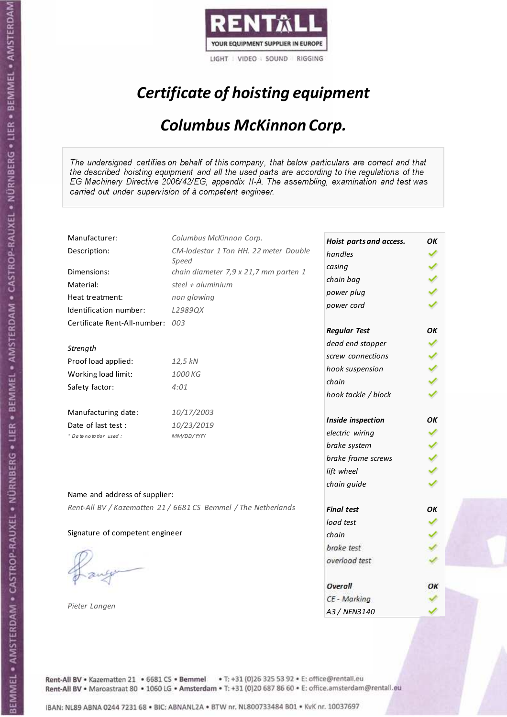

# Certificate of hoisting equipment

## Columbus McKinnon Corp.

The undersigned certifies on behalf of this company, that below particulars are correct and that the described hoisting equipment and all the used parts are according to the regulations of the EG Machinery Directive 2006/42/EG, appendix II-A. The assembling, examination and test was carried out under supervision of à competent engineer.

| Manufacturer:                    | Columbus McKinnon Corp.                                        | Hoist parts and access. | OK |
|----------------------------------|----------------------------------------------------------------|-------------------------|----|
| Description:                     | CM-lodestar 1 Ton HH. 22 meter Double                          | handles                 |    |
|                                  | Speed                                                          | casing                  |    |
| Dimensions:                      | chain diameter 7,9 x 21,7 mm parten 1                          | chain bag               |    |
| Material:                        | steel + $aluminim$                                             | power plug              |    |
| Heat treatment:                  | non glowing                                                    | power cord              |    |
| Identification number:           | L2989QX                                                        |                         |    |
| Certificate Rent-All-number: 003 |                                                                | <b>Regular Test</b>     | OК |
| Strength                         |                                                                | dead end stopper        |    |
| Proof load applied:              | 12,5 kN                                                        | screw connections       |    |
| Working load limit:              | 1000 KG                                                        | hook suspension         |    |
|                                  |                                                                | chain                   |    |
| Safety factor:                   | 4:01                                                           | hook tackle / block     |    |
| Manufacturing date:              | 10/17/2003                                                     |                         |    |
| Date of last test :              | 10/23/2019                                                     | Inside inspection       | OK |
| + Date notation used :           | MM/DD/YYYY                                                     | electric wiring         |    |
|                                  |                                                                | brake system            |    |
|                                  |                                                                | brake frame screws      |    |
|                                  |                                                                | lift wheel              |    |
|                                  |                                                                | chain guide             |    |
| Name and address of supplier:    |                                                                |                         |    |
|                                  | Rent-All BV / Kazematten 21 / 6681 CS Bemmel / The Netherlands | <b>Final test</b>       | OK |
|                                  |                                                                | load test               |    |
| Signature of competent engineer  |                                                                | chain                   |    |
|                                  |                                                                | brake test              |    |
|                                  |                                                                | overload test           |    |
|                                  |                                                                | Overall                 | ОΚ |
|                                  |                                                                | CE - Marking            |    |
| Pieter Langen                    |                                                                | A3 / NEN3140            |    |

Rent-All BV . Kazematten 21 . 6681 CS . Bemmel . T: +31 (0)26 325 53 92 . E: office@rentall.eu Rent-All BV · Maroastraat 80 · 1060 LG · Amsterdam · T: +31 (0)20 687 86 60 · E: office.amsterdam@rentall.eu

IBAN: NL89 ABNA 0244 7231 68 . BIC: ABNANL2A . BTW nr. NL800733484 B01 . KvK nr. 10037697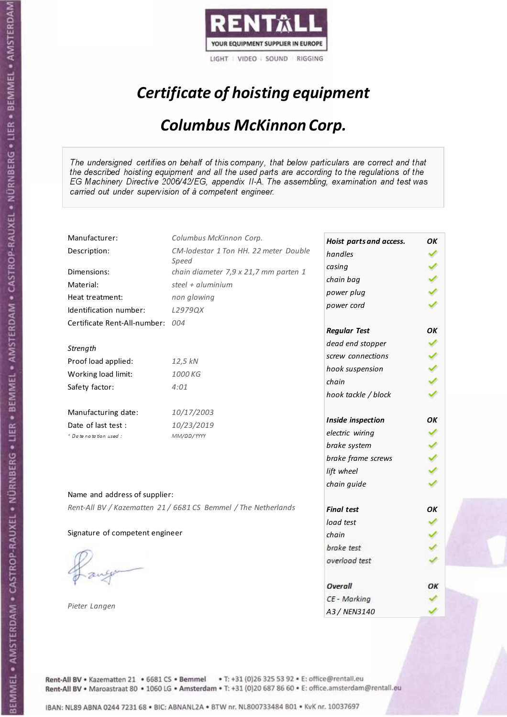

# Certificate of hoisting equipment

## Columbus McKinnon Corp.

The undersigned certifies on behalf of this company, that below particulars are correct and that the described hoisting equipment and all the used parts are according to the regulations of the EG Machinery Directive 2006/42/EG, appendix II-A. The assembling, examination and test was carried out under supervision of à competent engineer.

| Manufacturer:                    | Columbus McKinnon Corp.                                        | Hoist parts and access. | OK |
|----------------------------------|----------------------------------------------------------------|-------------------------|----|
| Description:                     | CM-lodestar 1 Ton HH. 22 meter Double                          | handles                 |    |
| Dimensions:                      | Speed<br>chain diameter 7,9 x 21,7 mm parten 1                 | casing                  |    |
|                                  | steel + $aluminim$                                             | chain bag               |    |
| Material:                        |                                                                | power plug              |    |
| Heat treatment:                  | non glowing                                                    | power cord              |    |
| Identification number:           | L2979QX                                                        |                         |    |
| Certificate Rent-All-number: 004 |                                                                | <b>Regular Test</b>     | OК |
|                                  |                                                                | dead end stopper        |    |
| Strength                         |                                                                | screw connections       |    |
| Proof load applied:              | 12,5 kN                                                        | hook suspension         |    |
| Working load limit:              | 1000 KG                                                        | chain                   |    |
| Safety factor:                   | 4:01                                                           | hook tackle / block     |    |
| Manufacturing date:              | 10/17/2003                                                     |                         |    |
| Date of last test :              | 10/23/2019                                                     | Inside inspection       | OК |
| * Date notation used :           | MM/DD/YYYY                                                     | electric wiring         |    |
|                                  |                                                                | brake system            |    |
|                                  |                                                                | brake frame screws      |    |
|                                  |                                                                | lift wheel              |    |
|                                  |                                                                | chain guide             |    |
| Name and address of supplier:    |                                                                |                         |    |
|                                  | Rent-All BV / Kazematten 21 / 6681 CS Bemmel / The Netherlands | <b>Final test</b>       | OK |
|                                  |                                                                | load test               |    |
| Signature of competent engineer  |                                                                | chain                   |    |
|                                  |                                                                | brake test              |    |
|                                  |                                                                | overload test           |    |
|                                  |                                                                |                         |    |
|                                  |                                                                | Overall                 | ОΚ |
|                                  |                                                                | CE - Marking            |    |
| Pieter Langen                    |                                                                | A3 / NEN3140            |    |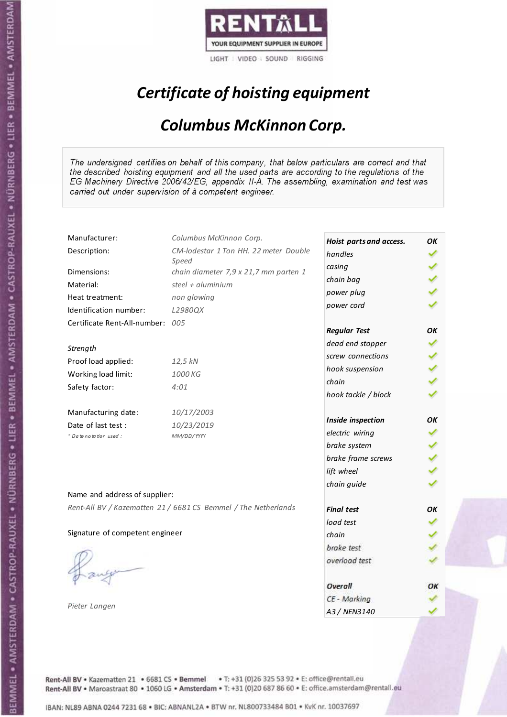

# Certificate of hoisting equipment

## Columbus McKinnon Corp.

The undersigned certifies on behalf of this company, that below particulars are correct and that the described hoisting equipment and all the used parts are according to the regulations of the EG Machinery Directive 2006/42/EG, appendix II-A. The assembling, examination and test was carried out under supervision of à competent engineer.

| Manufacturer:                    | Columbus McKinnon Corp.                                        | Hoist parts and access. | OK |
|----------------------------------|----------------------------------------------------------------|-------------------------|----|
| Description:                     | CM-lodestar 1 Ton HH. 22 meter Double                          | handles                 |    |
|                                  | Speed                                                          | casing                  |    |
| Dimensions:                      | chain diameter 7,9 x 21,7 mm parten 1                          | chain bag               |    |
| Material:                        | steel + $aluminim$                                             | power plug              |    |
| Heat treatment:                  | non glowing                                                    | power cord              |    |
| Identification number:           | L2980QX                                                        |                         |    |
| Certificate Rent-All-number: 005 |                                                                | <b>Regular Test</b>     | OК |
| Strength                         |                                                                | dead end stopper        |    |
|                                  |                                                                | screw connections       |    |
| Proof load applied:              | 12,5 kN                                                        | hook suspension         |    |
| Working load limit:              | 1000 KG                                                        | chain                   |    |
| Safety factor:                   | 4:01                                                           | hook tackle / block     |    |
| Manufacturing date:              | 10/17/2003                                                     |                         |    |
| Date of last test :              | 10/23/2019                                                     | Inside inspection       | OК |
| * Date notation used :           | MM/DD/YYYY                                                     | electric wiring         |    |
|                                  |                                                                | brake system            |    |
|                                  |                                                                | brake frame screws      |    |
|                                  |                                                                | lift wheel              |    |
|                                  |                                                                | chain guide             |    |
| Name and address of supplier:    |                                                                |                         |    |
|                                  | Rent-All BV / Kazematten 21 / 6681 CS Bemmel / The Netherlands | <b>Final test</b>       | OK |
|                                  |                                                                | load test               |    |
| Signature of competent engineer  |                                                                | chain                   |    |
|                                  |                                                                | brake test              |    |
|                                  |                                                                | overload test           |    |
|                                  |                                                                | Overall                 | ОΚ |
|                                  |                                                                | CE - Marking            |    |
| Pieter Langen                    |                                                                | A3 / NEN3140            |    |
|                                  |                                                                |                         |    |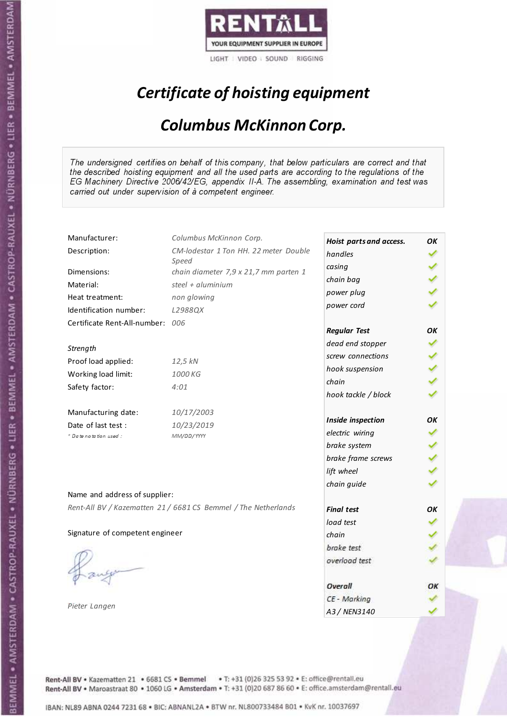

# Certificate of hoisting equipment

## Columbus McKinnon Corp.

The undersigned certifies on behalf of this company, that below particulars are correct and that the described hoisting equipment and all the used parts are according to the regulations of the EG Machinery Directive 2006/42/EG, appendix II-A. The assembling, examination and test was carried out under supervision of à competent engineer.

| Manufacturer:                    | Columbus McKinnon Corp.                                        | Hoist parts and access. | OK |
|----------------------------------|----------------------------------------------------------------|-------------------------|----|
| Description:                     | CM-lodestar 1 Ton HH. 22 meter Double                          | handles                 |    |
|                                  | Speed                                                          | casing                  |    |
| Dimensions:                      | chain diameter 7,9 x 21,7 mm parten 1                          | chain bag               |    |
| Material:                        | steel + $aluminim$                                             | power plug              |    |
| Heat treatment:                  | non glowing                                                    | power cord              |    |
| Identification number:           | L2988QX                                                        |                         |    |
| Certificate Rent-All-number: 006 |                                                                | <b>Regular Test</b>     | OК |
| Strength                         |                                                                | dead end stopper        |    |
| Proof load applied:              | 12,5 kN                                                        | screw connections       |    |
| Working load limit:              | 1000 KG                                                        | hook suspension         |    |
|                                  |                                                                | chain                   |    |
| Safety factor:                   | 4:01                                                           | hook tackle / block     |    |
| Manufacturing date:              | 10/17/2003                                                     |                         |    |
| Date of last test :              | 10/23/2019                                                     | Inside inspection       | OK |
| + Date notation used :           | MM/DD/YYYY                                                     | electric wiring         |    |
|                                  |                                                                | brake system            |    |
|                                  |                                                                | brake frame screws      |    |
|                                  |                                                                | lift wheel              |    |
| Name and address of supplier:    |                                                                | chain guide             |    |
|                                  |                                                                |                         |    |
|                                  | Rent-All BV / Kazematten 21 / 6681 CS Bemmel / The Netherlands | <b>Final test</b>       | OK |
|                                  |                                                                | load test               |    |
| Signature of competent engineer  |                                                                | chain                   |    |
|                                  |                                                                | brake test              |    |
|                                  |                                                                | overload test           |    |
|                                  |                                                                | Overall                 | ОΚ |
|                                  |                                                                | CE - Marking            |    |
| Pieter Langen                    |                                                                | A3 / NEN3140            |    |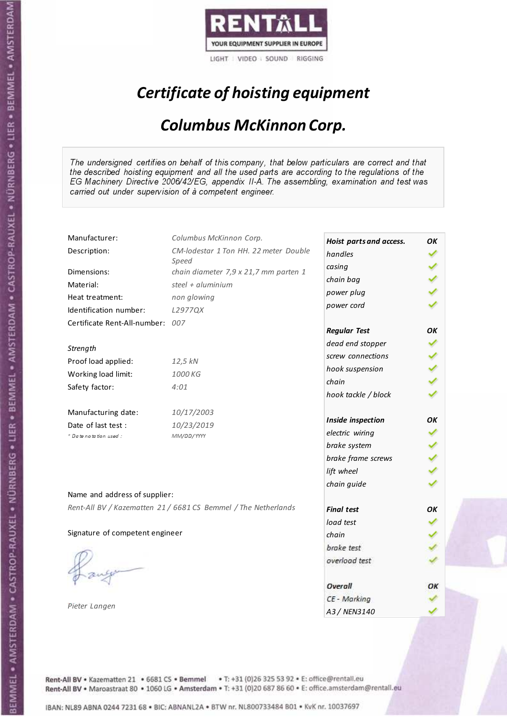

# Certificate of hoisting equipment

## Columbus McKinnon Corp.

The undersigned certifies on behalf of this company, that below particulars are correct and that the described hoisting equipment and all the used parts are according to the regulations of the EG Machinery Directive 2006/42/EG, appendix II-A. The assembling, examination and test was carried out under supervision of à competent engineer.

| Manufacturer:                    | Columbus McKinnon Corp.                                        | Hoist parts and access. | OK |
|----------------------------------|----------------------------------------------------------------|-------------------------|----|
| Description:                     | CM-lodestar 1 Ton HH. 22 meter Double                          | handles                 |    |
| Dimensions:                      | Speed                                                          | casing                  |    |
|                                  | chain diameter 7,9 x 21,7 mm parten 1<br>steel + $aluminim$    | chain bag               |    |
| Material:                        |                                                                | power plug              |    |
| Heat treatment:                  | non glowing                                                    | power cord              |    |
| Identification number:           | L2977QX                                                        |                         |    |
| Certificate Rent-All-number: 007 |                                                                | <b>Regular Test</b>     | OК |
|                                  |                                                                | dead end stopper        |    |
| Strength                         |                                                                | screw connections       |    |
| Proof load applied:              | 12,5 kN                                                        | hook suspension         |    |
| Working load limit:              | 1000 KG                                                        | chain                   |    |
| Safety factor:                   | 4:01                                                           | hook tackle / block     |    |
| Manufacturing date:              | 10/17/2003                                                     |                         |    |
| Date of last test :              | 10/23/2019                                                     | Inside inspection       | OК |
| * Date notation used :           | MM/DD/YYYY                                                     | electric wiring         |    |
|                                  |                                                                | brake system            |    |
|                                  |                                                                | brake frame screws      |    |
|                                  |                                                                | lift wheel              |    |
|                                  |                                                                | chain guide             |    |
| Name and address of supplier:    |                                                                |                         |    |
|                                  | Rent-All BV / Kazematten 21 / 6681 CS Bemmel / The Netherlands | <b>Final test</b>       | OK |
|                                  |                                                                | load test               |    |
| Signature of competent engineer  |                                                                | chain                   |    |
|                                  |                                                                | brake test              |    |
|                                  |                                                                | overload test           |    |
|                                  |                                                                |                         |    |
|                                  |                                                                | Overall                 | ОΚ |
| Pieter Langen                    |                                                                | CE - Marking            |    |
|                                  |                                                                | A3 / NEN3140            |    |

Rent-All BV . Kazematten 21 . 6681 CS . Bemmel . T: +31 (0)26 325 53 92 . E: office@rentall.eu Rent-All BV · Maroastraat 80 · 1060 LG · Amsterdam · T: +31 (0)20 687 86 60 · E: office.amsterdam@rentall.eu

IBAN: NL89 ABNA 0244 7231 68 . BIC: ABNANL2A . BTW nr. NL800733484 B01 . KvK nr. 10037697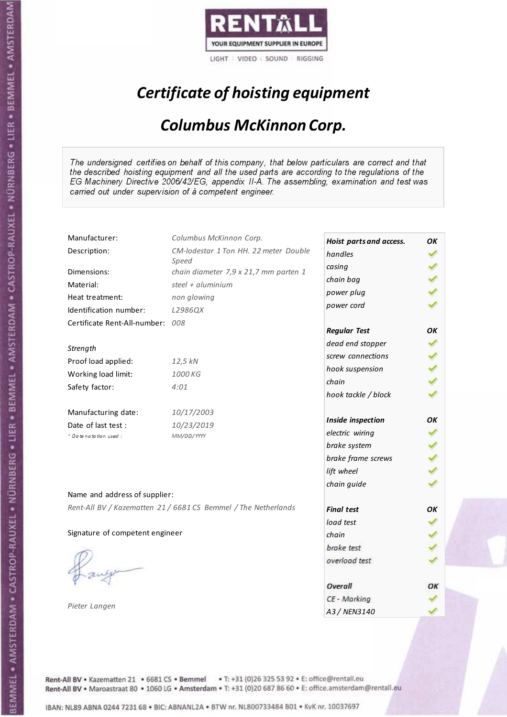

# Certificate of hoisting equipment

## Columbus McKinnon Corp.

The undersigned certifies on behalf of this company, that below particulars are correct and that the described hoisting equipment and all the used parts are according to the regulations of the EG Machinery Directive 2006/42/EG, appendix II-A. The assembling, examination and test was carried out under supervision of à competent engineer.

| Manufacturer:                    | Columbus McKinnon Corp.                                        | Hoist parts and access. | OK |
|----------------------------------|----------------------------------------------------------------|-------------------------|----|
| Description:                     | CM-lodestar 1 Ton HH. 22 meter Double                          | handles                 |    |
| Dimensions:                      | Speed<br>chain diameter 7,9 x 21,7 mm parten 1                 | casing                  |    |
|                                  | steel + $aluminim$                                             | chain bag               |    |
| Material:                        |                                                                | power plug              |    |
| Heat treatment:                  | non glowing                                                    | power cord              |    |
| Identification number:           | L2986QX                                                        |                         |    |
| Certificate Rent-All-number: 008 |                                                                | <b>Regular Test</b>     | OК |
|                                  |                                                                | dead end stopper        |    |
| Strength                         |                                                                | screw connections       |    |
| Proof load applied:              | 12,5 kN                                                        | hook suspension         |    |
| Working load limit:              | 1000 KG                                                        | chain                   |    |
| Safety factor:                   | 4:01                                                           | hook tackle / block     |    |
| Manufacturing date:              | 10/17/2003                                                     |                         |    |
| Date of last test :              | 10/23/2019                                                     | Inside inspection       | OК |
| * Date notation used :           | MM/DD/YYYY                                                     | electric wiring         |    |
|                                  |                                                                | brake system            |    |
|                                  |                                                                | brake frame screws      |    |
|                                  |                                                                | lift wheel              |    |
|                                  |                                                                | chain guide             |    |
| Name and address of supplier:    |                                                                |                         |    |
|                                  | Rent-All BV / Kazematten 21 / 6681 CS Bemmel / The Netherlands | <b>Final test</b>       | OK |
|                                  |                                                                | load test               |    |
| Signature of competent engineer  |                                                                | chain                   |    |
|                                  |                                                                | brake test              |    |
|                                  |                                                                | overload test           |    |
|                                  |                                                                |                         |    |
|                                  |                                                                | Overall                 | ОΚ |
|                                  |                                                                | CE - Marking            |    |
| Pieter Langen                    |                                                                | A3 / NEN3140            |    |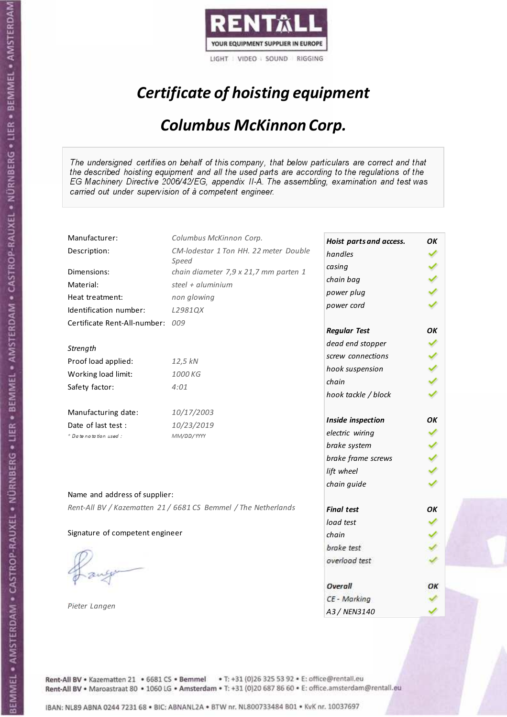

# Certificate of hoisting equipment

## Columbus McKinnon Corp.

The undersigned certifies on behalf of this company, that below particulars are correct and that the described hoisting equipment and all the used parts are according to the regulations of the EG Machinery Directive 2006/42/EG, appendix II-A. The assembling, examination and test was carried out under supervision of à competent engineer.

| Manufacturer:                    | Columbus McKinnon Corp.                                        | Hoist parts and access. | OK |
|----------------------------------|----------------------------------------------------------------|-------------------------|----|
| Description:                     | CM-lodestar 1 Ton HH. 22 meter Double                          | handles                 |    |
| Dimensions:                      | Speed<br>chain diameter 7,9 x 21,7 mm parten 1                 | casing                  |    |
|                                  | steel + $aluminim$                                             | chain bag               |    |
| Material:                        |                                                                | power plug              |    |
| Heat treatment:                  | non glowing                                                    | power cord              |    |
| Identification number:           | L2981QX                                                        |                         |    |
| Certificate Rent-All-number: 009 |                                                                | <b>Regular Test</b>     | OК |
|                                  |                                                                | dead end stopper        |    |
| Strength                         |                                                                | screw connections       |    |
| Proof load applied:              | 12,5 kN                                                        | hook suspension         |    |
| Working load limit:              | 1000 KG                                                        | chain                   |    |
| Safety factor:                   | 4:01                                                           | hook tackle / block     |    |
| Manufacturing date:              | 10/17/2003                                                     |                         |    |
| Date of last test :              | 10/23/2019                                                     | Inside inspection       | OК |
| * Date notation used :           | MM/DD/YYYY                                                     | electric wiring         |    |
|                                  |                                                                | brake system            |    |
|                                  |                                                                | brake frame screws      |    |
|                                  |                                                                | lift wheel              |    |
|                                  |                                                                | chain guide             |    |
| Name and address of supplier:    |                                                                |                         |    |
|                                  | Rent-All BV / Kazematten 21 / 6681 CS Bemmel / The Netherlands | <b>Final test</b>       | OK |
|                                  |                                                                | load test               |    |
| Signature of competent engineer  |                                                                | chain                   |    |
|                                  |                                                                | brake test              |    |
|                                  |                                                                | overload test           |    |
|                                  |                                                                |                         |    |
|                                  |                                                                | Overall                 | ОΚ |
|                                  |                                                                | CE - Marking            |    |
| Pieter Langen                    |                                                                | A3 / NEN3140            |    |

Rent-All BV . Kazematten 21 . 6681 CS . Bemmel . T: +31 (0)26 325 53 92 . E: office@rentall.eu Rent-All BV · Maroastraat 80 · 1060 LG · Amsterdam · T: +31 (0)20 687 86 60 · E: office.amsterdam@rentall.eu

IBAN: NL89 ABNA 0244 7231 68 . BIC: ABNANL2A . BTW nr. NL800733484 B01 . KvK nr. 10037697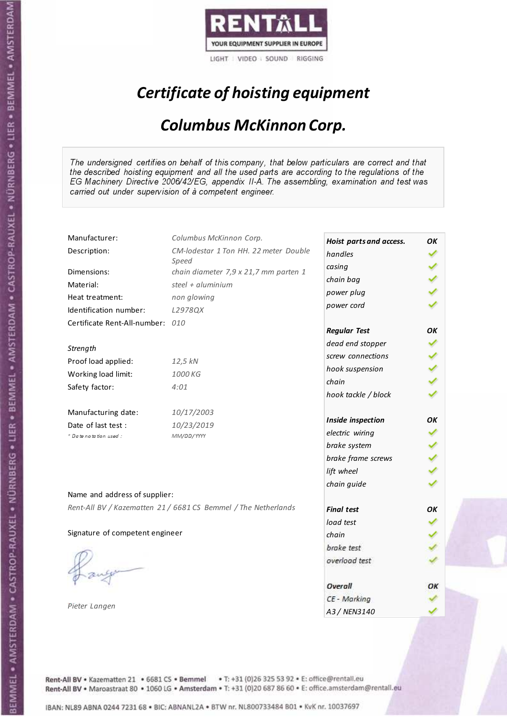

# Certificate of hoisting equipment

## Columbus McKinnon Corp.

The undersigned certifies on behalf of this company, that below particulars are correct and that the described hoisting equipment and all the used parts are according to the regulations of the EG Machinery Directive 2006/42/EG, appendix II-A. The assembling, examination and test was carried out under supervision of à competent engineer.

| Manufacturer:                    | Columbus McKinnon Corp.                                        | Hoist parts and access. | OK |
|----------------------------------|----------------------------------------------------------------|-------------------------|----|
| Description:                     | CM-lodestar 1 Ton HH. 22 meter Double                          | handles                 |    |
| Dimensions:                      | Speed                                                          | casing                  |    |
|                                  | chain diameter 7,9 x 21,7 mm parten 1<br>steel + $aluminim$    | chain bag               |    |
| Material:                        |                                                                | power plug              |    |
| Heat treatment:                  | non glowing                                                    | power cord              |    |
| Identification number:           | L2978QX                                                        |                         |    |
| Certificate Rent-All-number: 010 |                                                                | <b>Regular Test</b>     | OК |
|                                  |                                                                | dead end stopper        |    |
| Strength                         |                                                                | screw connections       |    |
| Proof load applied:              | 12,5 kN                                                        | hook suspension         |    |
| Working load limit:              | 1000 KG                                                        | chain                   |    |
| Safety factor:                   | 4:01                                                           | hook tackle / block     |    |
| Manufacturing date:              | 10/17/2003                                                     |                         |    |
| Date of last test :              | 10/23/2019                                                     | Inside inspection       | OК |
| * Date notation used :           | MM/DD/YYYY                                                     | electric wiring         |    |
|                                  |                                                                | brake system            |    |
|                                  |                                                                | brake frame screws      |    |
|                                  |                                                                | lift wheel              |    |
|                                  |                                                                | chain guide             |    |
| Name and address of supplier:    |                                                                |                         |    |
|                                  | Rent-All BV / Kazematten 21 / 6681 CS Bemmel / The Netherlands | <b>Final test</b>       | OK |
|                                  |                                                                | load test               |    |
| Signature of competent engineer  |                                                                | chain                   |    |
|                                  |                                                                | brake test              |    |
|                                  |                                                                | overload test           |    |
|                                  |                                                                |                         |    |
|                                  |                                                                | Overall                 | ОΚ |
|                                  |                                                                | CE - Marking            |    |
| Pieter Langen                    |                                                                | A3 / NEN3140            |    |

Rent-All BV . Kazematten 21 . 6681 CS . Bemmel . T: +31 (0)26 325 53 92 . E: office@rentall.eu Rent-All BV · Maroastraat 80 · 1060 LG · Amsterdam · T: +31 (0)20 687 86 60 · E: office.amsterdam@rentall.eu

IBAN: NL89 ABNA 0244 7231 68 . BIC: ABNANL2A . BTW nr. NL800733484 B01 . KvK nr. 10037697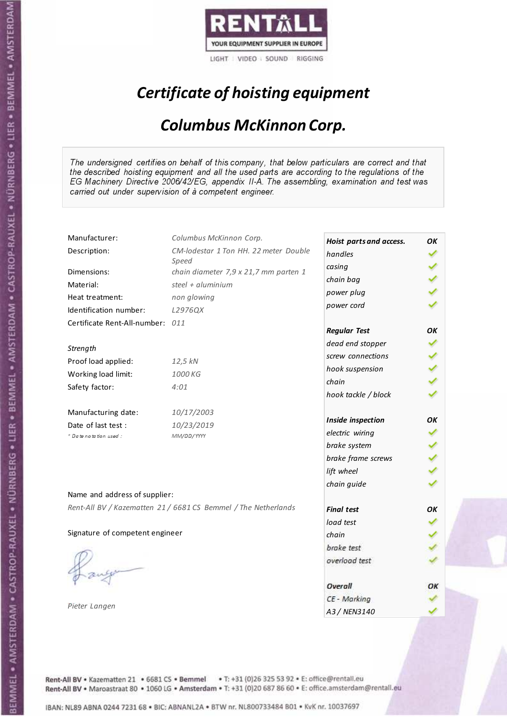

# Certificate of hoisting equipment

## Columbus McKinnon Corp.

The undersigned certifies on behalf of this company, that below particulars are correct and that the described hoisting equipment and all the used parts are according to the regulations of the EG Machinery Directive 2006/42/EG, appendix II-A. The assembling, examination and test was carried out under supervision of à competent engineer.

| Manufacturer:                    | Columbus McKinnon Corp.                                        | Hoist parts and access. | OK |
|----------------------------------|----------------------------------------------------------------|-------------------------|----|
| Description:                     | CM-lodestar 1 Ton HH. 22 meter Double                          | handles                 |    |
| Dimensions:                      | Speed                                                          | casing                  |    |
|                                  | chain diameter 7,9 x 21,7 mm parten 1<br>steel + $aluminim$    | chain bag               |    |
| Material:                        |                                                                | power plug              |    |
| Heat treatment:                  | non glowing                                                    | power cord              |    |
| Identification number:           | L2976QX                                                        |                         |    |
| Certificate Rent-All-number: 011 |                                                                | <b>Regular Test</b>     | OК |
|                                  |                                                                | dead end stopper        |    |
| Strength                         |                                                                | screw connections       |    |
| Proof load applied:              | 12,5 kN                                                        | hook suspension         |    |
| Working load limit:              | 1000 KG                                                        | chain                   |    |
| Safety factor:                   | 4:01                                                           | hook tackle / block     |    |
| Manufacturing date:              | 10/17/2003                                                     |                         |    |
| Date of last test :              | 10/23/2019                                                     | Inside inspection       | OК |
| * Date notation used :           | MM/DD/YYYY                                                     | electric wiring         |    |
|                                  |                                                                | brake system            |    |
|                                  |                                                                | brake frame screws      |    |
|                                  |                                                                | lift wheel              |    |
|                                  |                                                                | chain guide             |    |
| Name and address of supplier:    |                                                                |                         |    |
|                                  | Rent-All BV / Kazematten 21 / 6681 CS Bemmel / The Netherlands | <b>Final test</b>       | OK |
|                                  |                                                                | load test               |    |
| Signature of competent engineer  |                                                                | chain                   |    |
|                                  |                                                                | brake test              |    |
|                                  |                                                                | overload test           |    |
|                                  |                                                                |                         |    |
|                                  |                                                                | Overall                 | ОΚ |
| Pieter Langen                    |                                                                | CE - Marking            |    |
|                                  |                                                                | A3 / NEN3140            |    |

Rent-All BV . Kazematten 21 . 6681 CS . Bemmel . T: +31 (0)26 325 53 92 . E: office@rentall.eu Rent-All BV · Maroastraat 80 · 1060 LG · Amsterdam · T: +31 (0)20 687 86 60 · E: office.amsterdam@rentall.eu

IBAN: NL89 ABNA 0244 7231 68 . BIC: ABNANL2A . BTW nr. NL800733484 B01 . KvK nr. 10037697